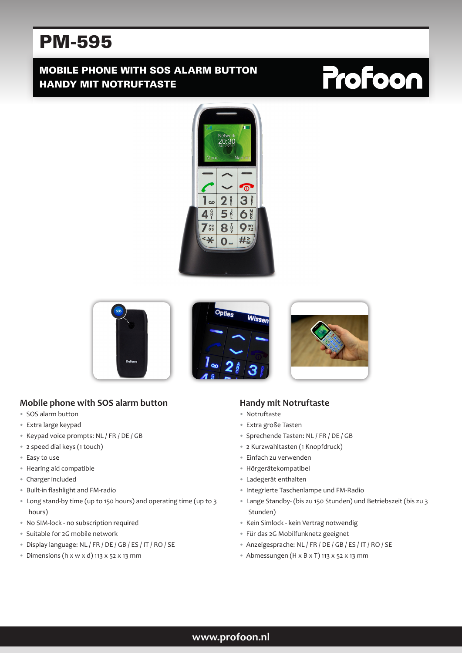# PM-595

# MOBILE PHONE WITH SOS ALARM BUTTON HANDY MIT NOTRUFTASTE

# **Profoon**









#### **Mobile phone with SOS alarm button**

- SOS alarm button
- Extra large keypad
- Keypad voice prompts: NL / FR / DE / GB
- 2 speed dial keys (1 touch)
- Easy to use
- Hearing aid compatible
- Charger included
- Built-in flashlight and FM-radio
- Long stand-by time (up to 150 hours) and operating time (up to 3 hours)
- No SIM-lock no subscription required
- Suitable for 2G mobile network
- Display language: NL / FR / DE / GB / ES / IT / RO / SE
- Dimensions (h x w x d) 113 x 52 x 13 mm

#### **Handy mit Notruftaste**

- Notruftaste
- Extra große Tasten
- Sprechende Tasten: NL / FR / DE / GB
- 2 Kurzwahltasten (1 Knopfdruck)
- Einfach zu verwenden
- Hörgerätekompatibel
- Ladegerät enthalten
- Integrierte Taschenlampe und FM-Radio
- Lange Standby- (bis zu 150 Stunden) und Betriebszeit (bis zu 3 Stunden)
- Kein Simlock kein Vertrag notwendig
- Für das 2G Mobilfunknetz geeignet
- Anzeigesprache: NL / FR / DE / GB / ES / IT / RO / SE
- Abmessungen (H x B x T) 113 x 52 x 13 mm

#### **www.profoon.nl**